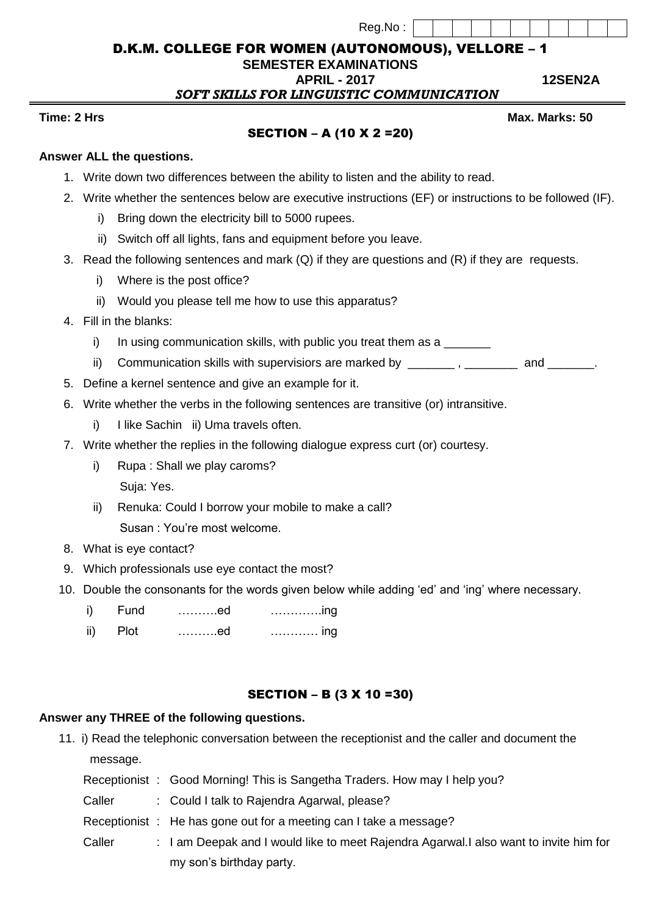Reg.No :

D.K.M. COLLEGE FOR WOMEN (AUTONOMOUS), VELLORE – 1

**SEMESTER EXAMINATIONS**

 **APRIL - 2017 12SEN2A** 

 *SOFT SKILLS FOR LINGUISTIC COMMUNICATION*

#### **Time: 2** Hrs Max. Marks: 50

### SECTION – A (10 X 2 =20)

### **Answer ALL the questions.**

- 1. Write down two differences between the ability to listen and the ability to read.
- 2. Write whether the sentences below are executive instructions (EF) or instructions to be followed (IF).
	- i) Bring down the electricity bill to 5000 rupees.
	- ii) Switch off all lights, fans and equipment before you leave.
- 3. Read the following sentences and mark (Q) if they are questions and (R) if they are requests.
	- i) Where is the post office?
	- ii) Would you please tell me how to use this apparatus?
- 4. Fill in the blanks:
	- i) In using communication skills, with public you treat them as a
	- ii) Communication skills with supervisiors are marked by example and  $\blacksquare$ , and  $\blacksquare$
- 5. Define a kernel sentence and give an example for it.
- 6. Write whether the verbs in the following sentences are transitive (or) intransitive.
	- i) I like Sachin ii) Uma travels often.
- 7. Write whether the replies in the following dialogue express curt (or) courtesy.
	- i) Rupa : Shall we play caroms? Suja: Yes.
	- ii) Renuka: Could I borrow your mobile to make a call? Susan : You're most welcome.
- 8. What is eye contact?
- 9. Which professionals use eye contact the most?
- 10. Double the consonants for the words given below while adding 'ed' and 'ing' where necessary.
	- i) Fund ……….ed ………….ing
	- ii) Plot ……….ed ………… ing

## SECTION – B (3 X 10 =30)

# **Answer any THREE of the following questions.**

11. i) Read the telephonic conversation between the receptionist and the caller and document the message.

|        | Receptionist : Good Morning! This is Sangetha Traders. How may I help you?             |
|--------|----------------------------------------------------------------------------------------|
| Caller | : Could I talk to Rajendra Agarwal, please?                                            |
|        | Receptionist : He has gone out for a meeting can I take a message?                     |
| Caller | : I am Deepak and I would like to meet Rajendra Agarwal. I also want to invite him for |
|        | my son's birthday party.                                                               |